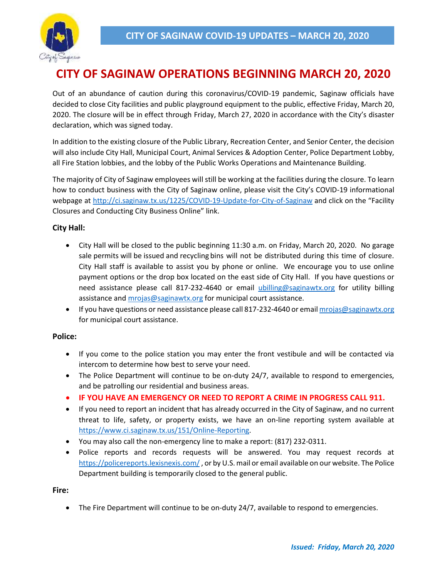

# **CITY OF SAGINAW OPERATIONS BEGINNING MARCH 20, 2020**

Out of an abundance of caution during this coronavirus/COVID-19 pandemic, Saginaw officials have decided to close City facilities and public playground equipment to the public, effective Friday, March 20, 2020. The closure will be in effect through Friday, March 27, 2020 in accordance with the City's disaster declaration, which was signed today.

In addition to the existing closure of the Public Library, Recreation Center, and Senior Center, the decision will also include City Hall, Municipal Court, Animal Services & Adoption Center, Police Department Lobby, all Fire Station lobbies, and the lobby of the Public Works Operations and Maintenance Building.

The majority of City of Saginaw employees will still be working at the facilities during the closure. To learn how to conduct business with the City of Saginaw online, please visit the City's COVID-19 informational webpage at<http://ci.saginaw.tx.us/1225/COVID-19-Update-for-City-of-Saginaw> and click on the "Facility Closures and Conducting City Business Online" link.

## **City Hall:**

- City Hall will be closed to the public beginning 11:30 a.m. on Friday, March 20, 2020. No garage sale permits will be issued and recycling bins will not be distributed during this time of closure. City Hall staff is available to assist you by phone or online. We encourage you to use online payment options or the drop box located on the east side of City Hall. If you have questions or need assistance please call 817-232-4640 or email [ubilling@saginawtx.org](mailto:ubilling@saginawtx.org) for utility billing assistance and [mrojas@saginawtx.org](mailto:mrojas@saginawtx.org) for municipal court assistance.
- **If you have questions or need assistance please call 817-232-4640 or emai[l mrojas@saginawtx.org](mailto:mrojas@saginawtx.org)** for municipal court assistance.

## **Police:**

- If you come to the police station you may enter the front vestibule and will be contacted via intercom to determine how best to serve your need.
- The Police Department will continue to be on-duty 24/7, available to respond to emergencies, and be patrolling our residential and business areas.
- **IF YOU HAVE AN EMERGENCY OR NEED TO REPORT A CRIME IN PROGRESS CALL 911.**
- If you need to report an incident that has already occurred in the City of Saginaw, and no current threat to life, safety, or property exists, we have an on-line reporting system available at [https://www.ci.saginaw.tx.us/151/Online-Reporting.](https://www.ci.saginaw.tx.us/151/Online-Reporting)
- You may also call the non-emergency line to make a report: (817) 232-0311.
- Police reports and records requests will be answered. You may request records at [https://policereports.lexisnexis.com/,](https://policereports.lexisnexis.com/) or by U.S. mail or email available on our website. The Police Department building is temporarily closed to the general public.

**Fire:**

The Fire Department will continue to be on-duty 24/7, available to respond to emergencies.